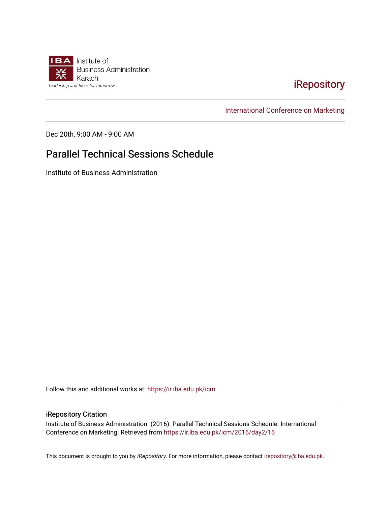

# [iRepository](https://ir.iba.edu.pk/)

[International Conference on Marketing](https://ir.iba.edu.pk/icm) 

Dec 20th, 9:00 AM - 9:00 AM

# Parallel Technical Sessions Schedule

Institute of Business Administration

Follow this and additional works at: [https://ir.iba.edu.pk/icm](https://ir.iba.edu.pk/icm?utm_source=ir.iba.edu.pk%2Ficm%2F2016%2Fday2%2F16&utm_medium=PDF&utm_campaign=PDFCoverPages) 

### iRepository Citation

Institute of Business Administration. (2016). Parallel Technical Sessions Schedule. International Conference on Marketing. Retrieved from [https://ir.iba.edu.pk/icm/2016/day2/16](https://ir.iba.edu.pk/icm/2016/day2/16?utm_source=ir.iba.edu.pk%2Ficm%2F2016%2Fday2%2F16&utm_medium=PDF&utm_campaign=PDFCoverPages) 

This document is brought to you by iRepository. For more information, please contact [irepository@iba.edu.pk](mailto:irepository@iba.edu.pk).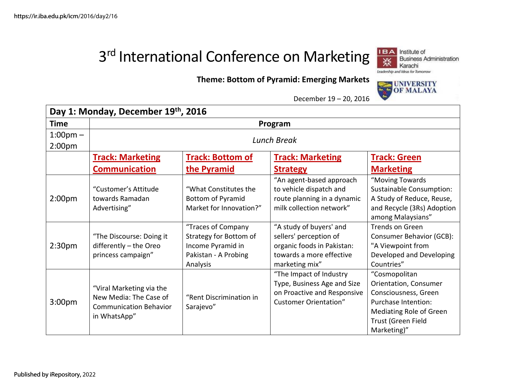# 3<sup>rd</sup> International Conference on Marketing



# **Theme: Bottom of Pyramid: Emerging Markets**



December 19 – 20, 2016

| Day 1: Monday, December 19th, 2016       |                                                                                                     |                                                                                                       |                                                                                                                               |                                                                                                                                                       |  |
|------------------------------------------|-----------------------------------------------------------------------------------------------------|-------------------------------------------------------------------------------------------------------|-------------------------------------------------------------------------------------------------------------------------------|-------------------------------------------------------------------------------------------------------------------------------------------------------|--|
| <b>Time</b>                              | Program                                                                                             |                                                                                                       |                                                                                                                               |                                                                                                                                                       |  |
| $1:00 \text{pm} -$<br>2:00 <sub>pm</sub> | <b>Lunch Break</b>                                                                                  |                                                                                                       |                                                                                                                               |                                                                                                                                                       |  |
|                                          | <b>Track: Marketing</b>                                                                             | <b>Track: Bottom of</b>                                                                               | <b>Track: Marketing</b>                                                                                                       | <b>Track: Green</b>                                                                                                                                   |  |
|                                          | <b>Communication</b>                                                                                | the Pyramid                                                                                           | <b>Strategy</b>                                                                                                               | <b>Marketing</b>                                                                                                                                      |  |
| 2:00 <sub>pm</sub>                       | "Customer's Attitude<br>towards Ramadan<br>Advertising"                                             | "What Constitutes the<br>Bottom of Pyramid<br>Market for Innovation?"                                 | "An agent-based approach<br>to vehicle dispatch and<br>route planning in a dynamic<br>milk collection network"                | "Moving Towards<br>Sustainable Consumption:<br>A Study of Reduce, Reuse,<br>and Recycle (3Rs) Adoption<br>among Malaysians"                           |  |
| 2:30 <sub>pm</sub>                       | "The Discourse: Doing it<br>differently - the Oreo<br>princess campaign"                            | "Traces of Company<br>Strategy for Bottom of<br>Income Pyramid in<br>Pakistan - A Probing<br>Analysis | "A study of buyers' and<br>sellers' perception of<br>organic foods in Pakistan:<br>towards a more effective<br>marketing mix" | <b>Trends on Green</b><br><b>Consumer Behavior (GCB):</b><br>"A Viewpoint from<br>Developed and Developing<br>Countries"                              |  |
| 3:00 <sub>pm</sub>                       | "Viral Marketing via the<br>New Media: The Case of<br><b>Communication Behavior</b><br>in WhatsApp" | "Rent Discrimination in<br>Sarajevo"                                                                  | "The Impact of Industry<br>Type, Business Age and Size<br>on Proactive and Responsive<br><b>Customer Orientation"</b>         | "Cosmopolitan<br>Orientation, Consumer<br>Consciousness, Green<br>Purchase Intention:<br>Mediating Role of Green<br>Trust (Green Field<br>Marketing)" |  |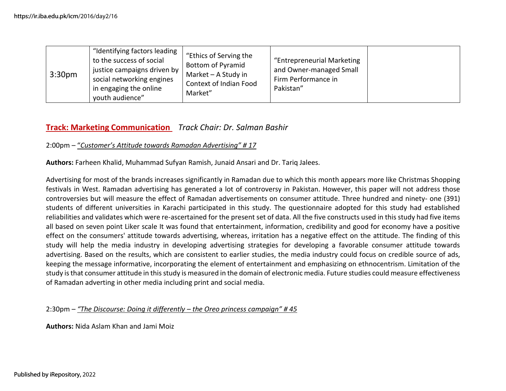| 3:30 <sub>pm</sub> | "Identifying factors leading<br>to the success of social<br>justice campaigns driven by<br>social networking engines<br>in engaging the online<br>youth audience" | "Ethics of Serving the<br><b>Bottom of Pyramid</b><br>Market - A Study in<br>Context of Indian Food<br>Market" | "Entrepreneurial Marketing<br>and Owner-managed Small<br>Firm Performance in<br>Pakistan" |  |
|--------------------|-------------------------------------------------------------------------------------------------------------------------------------------------------------------|----------------------------------------------------------------------------------------------------------------|-------------------------------------------------------------------------------------------|--|
|--------------------|-------------------------------------------------------------------------------------------------------------------------------------------------------------------|----------------------------------------------------------------------------------------------------------------|-------------------------------------------------------------------------------------------|--|

# **Track: Marketing Communication** *Track Chair: Dr. Salman Bashir*

### 2:00pm – "*Customer's Attitude towards Ramadan Advertising" # 17*

**Authors:** Farheen Khalid, Muhammad Sufyan Ramish, Junaid Ansari and Dr. Tariq Jalees.

Advertising for most of the brands increases significantly in Ramadan due to which this month appears more like Christmas Shopping festivals in West. Ramadan advertising has generated a lot of controversy in Pakistan. However, this paper will not address those controversies but will measure the effect of Ramadan advertisements on consumer attitude. Three hundred and ninety- one (391) students of different universities in Karachi participated in this study. The questionnaire adopted for this study had established reliabilities and validates which were re-ascertained for the present set of data. All the five constructs used in this study had five items all based on seven point Liker scale It was found that entertainment, information, credibility and good for economy have a positive effect on the consumers' attitude towards advertising, whereas, irritation has a negative effect on the attitude. The finding of this study will help the media industry in developing advertising strategies for developing a favorable consumer attitude towards advertising. Based on the results, which are consistent to earlier studies, the media industry could focus on credible source of ads, keeping the message informative, incorporating the element of entertainment and emphasizing on ethnocentrism. Limitation of the study is that consumer attitude in this study is measured in the domain of electronic media. Future studies could measure effectiveness of Ramadan adverting in other media including print and social media.

2:30pm – *"The Discourse: Doing it differently – the Oreo princess campaign" # 45*

**Authors:** Nida Aslam Khan and Jami Moiz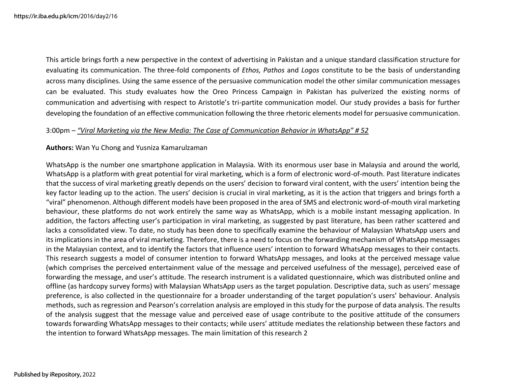This article brings forth a new perspective in the context of advertising in Pakistan and a unique standard classification structure for evaluating its communication. The three-fold components of *Ethos, Pathos* and *Logos* constitute to be the basis of understanding across many disciplines. Using the same essence of the persuasive communication model the other similar communication messages can be evaluated. This study evaluates how the Oreo Princess Campaign in Pakistan has pulverized the existing norms of communication and advertising with respect to Aristotle's tri-partite communication model. Our study provides a basis for further developing the foundation of an effective communication following the three rhetoric elements model for persuasive communication.

### 3:00pm – *"Viral Marketing via the New Media: The Case of Communication Behavior in WhatsApp" # 52*

### **Authors:** Wan Yu Chong and Yusniza Kamarulzaman

WhatsApp is the number one smartphone application in Malaysia. With its enormous user base in Malaysia and around the world, WhatsApp is a platform with great potential for viral marketing, which is a form of electronic word-of-mouth. Past literature indicates that the success of viral marketing greatly depends on the users' decision to forward viral content, with the users' intention being the key factor leading up to the action. The users' decision is crucial in viral marketing, as it is the action that triggers and brings forth a "viral" phenomenon. Although different models have been proposed in the area of SMS and electronic word-of-mouth viral marketing behaviour, these platforms do not work entirely the same way as WhatsApp, which is a mobile instant messaging application. In addition, the factors affecting user's participation in viral marketing, as suggested by past literature, has been rather scattered and lacks a consolidated view. To date, no study has been done to specifically examine the behaviour of Malaysian WhatsApp users and its implications in the area of viral marketing. Therefore, there is a need to focus on the forwarding mechanism of WhatsApp messages in the Malaysian context, and to identify the factors that influence users' intention to forward WhatsApp messages to their contacts. This research suggests a model of consumer intention to forward WhatsApp messages, and looks at the perceived message value (which comprises the perceived entertainment value of the message and perceived usefulness of the message), perceived ease of forwarding the message, and user's attitude. The research instrument is a validated questionnaire, which was distributed online and offline (as hardcopy survey forms) with Malaysian WhatsApp users as the target population. Descriptive data, such as users' message preference, is also collected in the questionnaire for a broader understanding of the target population's users' behaviour. Analysis methods, such as regression and Pearson's correlation analysis are employed in this study for the purpose of data analysis. The results of the analysis suggest that the message value and perceived ease of usage contribute to the positive attitude of the consumers towards forwarding WhatsApp messages to their contacts; while users' attitude mediates the relationship between these factors and the intention to forward WhatsApp messages. The main limitation of this research 2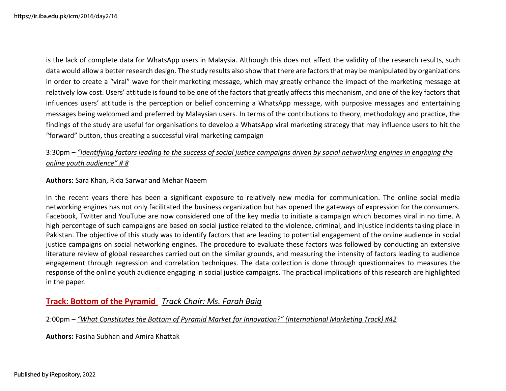is the lack of complete data for WhatsApp users in Malaysia. Although this does not affect the validity of the research results, such data would allow a better research design. The study results also show that there are factors that may be manipulated by organizations in order to create a "viral" wave for their marketing message, which may greatly enhance the impact of the marketing message at relatively low cost. Users' attitude is found to be one of the factors that greatly affects this mechanism, and one of the key factors that influences users' attitude is the perception or belief concerning a WhatsApp message, with purposive messages and entertaining messages being welcomed and preferred by Malaysian users. In terms of the contributions to theory, methodology and practice, the findings of the study are useful for organisations to develop a WhatsApp viral marketing strategy that may influence users to hit the "forward" button, thus creating a successful viral marketing campaign

# 3:30pm – *"Identifying factors leading to the success of social justice campaigns driven by social networking engines in engaging the online youth audience" # 8*

### **Authors:** Sara Khan, Rida Sarwar and Mehar Naeem

In the recent years there has been a significant exposure to relatively new media for communication. The online social media networking engines has not only facilitated the business organization but has opened the gateways of expression for the consumers. Facebook, Twitter and YouTube are now considered one of the key media to initiate a campaign which becomes viral in no time. A high percentage of such campaigns are based on social justice related to the violence, criminal, and injustice incidents taking place in Pakistan. The objective of this study was to identify factors that are leading to potential engagement of the online audience in social justice campaigns on social networking engines. The procedure to evaluate these factors was followed by conducting an extensive literature review of global researches carried out on the similar grounds, and measuring the intensity of factors leading to audience engagement through regression and correlation techniques. The data collection is done through questionnaires to measures the response of the online youth audience engaging in social justice campaigns. The practical implications of this research are highlighted in the paper.

# **Track: Bottom of the Pyramid** *Track Chair: Ms. Farah Baig*

### 2:00pm – *"What Constitutes the Bottom of Pyramid Market for Innovation?" (International Marketing Track) #42*

**Authors:** Fasiha Subhan and Amira Khattak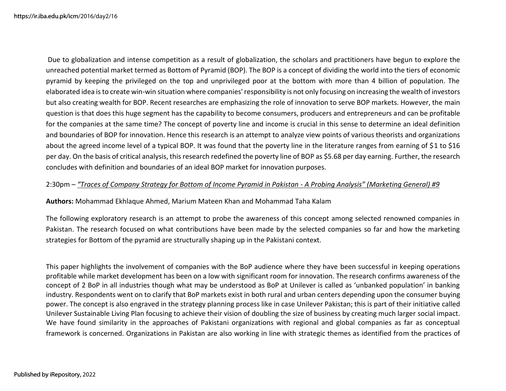https://ir.iba.edu.pk/icm https://ir.iba.edu.pk/icm/2016/day2/16

 Due to globalization and intense competition as a result of globalization, the scholars and practitioners have begun to explore the unreached potential market termed as Bottom of Pyramid (BOP). The BOP is a concept of dividing the world into the tiers of economic pyramid by keeping the privileged on the top and unprivileged poor at the bottom with more than 4 billion of population. The elaborated idea is to create win-win situation where companies' responsibility is not only focusing on increasing the wealth of investors but also creating wealth for BOP. Recent researches are emphasizing the role of innovation to serve BOP markets. However, the main question is that does this huge segment has the capability to become consumers, producers and entrepreneurs and can be profitable for the companies at the same time? The concept of poverty line and income is crucial in this sense to determine an ideal definition and boundaries of BOP for innovation. Hence this research is an attempt to analyze view points of various theorists and organizations about the agreed income level of a typical BOP. It was found that the poverty line in the literature ranges from earning of \$1 to \$16 per day. On the basis of critical analysis, this research redefined the poverty line of BOP as \$5.68 per day earning. Further, the research concludes with definition and boundaries of an ideal BOP market for innovation purposes.

### 2:30pm – *"Traces of Company Strategy for Bottom of Income Pyramid in Pakistan - A Probing Analysis" (Marketing General) #9*

**Authors:** Mohammad Ekhlaque Ahmed, Marium Mateen Khan and Mohammad Taha Kalam

The following exploratory research is an attempt to probe the awareness of this concept among selected renowned companies in Pakistan. The research focused on what contributions have been made by the selected companies so far and how the marketing strategies for Bottom of the pyramid are structurally shaping up in the Pakistani context.

This paper highlights the involvement of companies with the BoP audience where they have been successful in keeping operations profitable while market development has been on a low with significant room for innovation. The research confirms awareness of the concept of 2 BoP in all industries though what may be understood as BoP at Unilever is called as 'unbanked population' in banking industry. Respondents went on to clarify that BoP markets exist in both rural and urban centers depending upon the consumer buying power. The concept is also engraved in the strategy planning process like in case Unilever Pakistan; this is part of their initiative called Unilever Sustainable Living Plan focusing to achieve their vision of doubling the size of business by creating much larger social impact. We have found similarity in the approaches of Pakistani organizations with regional and global companies as far as conceptual framework is concerned. Organizations in Pakistan are also working in line with strategic themes as identified from the practices of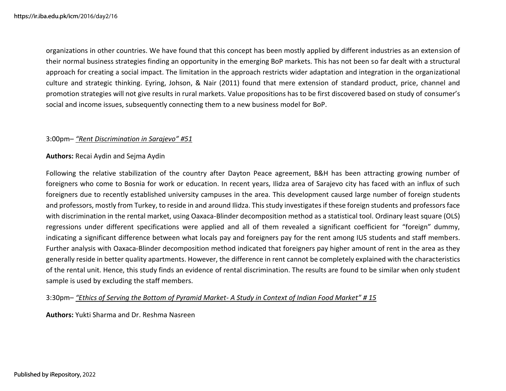organizations in other countries. We have found that this concept has been mostly applied by different industries as an extension of their normal business strategies finding an opportunity in the emerging BoP markets. This has not been so far dealt with a structural approach for creating a social impact. The limitation in the approach restricts wider adaptation and integration in the organizational culture and strategic thinking. Eyring, Johson, & Nair (2011) found that mere extension of standard product, price, channel and promotion strategies will not give results in rural markets. Value propositions has to be first discovered based on study of consumer's social and income issues, subsequently connecting them to a new business model for BoP.

### 3:00pm– *"Rent Discrimination in Sarajevo" #51*

### **Authors:** Recai Aydin and Sejma Aydin

Following the relative stabilization of the country after Dayton Peace agreement, B&H has been attracting growing number of foreigners who come to Bosnia for work or education. In recent years, Ilidza area of Sarajevo city has faced with an influx of such foreigners due to recently established university campuses in the area. This development caused large number of foreign students and professors, mostly from Turkey, to reside in and around Ilidza. This study investigates if these foreign students and professors face with discrimination in the rental market, using Oaxaca-Blinder decomposition method as a statistical tool. Ordinary least square (OLS) regressions under different specifications were applied and all of them revealed a significant coefficient for "foreign" dummy, indicating a significant difference between what locals pay and foreigners pay for the rent among IUS students and staff members. Further analysis with Oaxaca-Blinder decomposition method indicated that foreigners pay higher amount of rent in the area as they generally reside in better quality apartments. However, the difference in rent cannot be completely explained with the characteristics of the rental unit. Hence, this study finds an evidence of rental discrimination. The results are found to be similar when only student sample is used by excluding the staff members.

3:30pm– *"Ethics of Serving the Bottom of Pyramid Market- A Study in Context of Indian Food Market" # 15* 

**Authors:** Yukti Sharma and Dr. Reshma Nasreen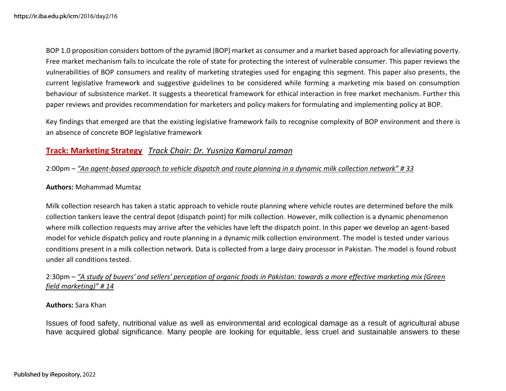BOP 1.0 proposition considers bottom of the pyramid (BOP) market as consumer and a market based approach for alleviating poverty. Free market mechanism fails to inculcate the role of state for protecting the interest of vulnerable consumer. This paper reviews the vulnerabilities of BOP consumers and reality of marketing strategies used for engaging this segment. This paper also presents, the current legislative framework and suggestive guidelines to be considered while forming a marketing mix based on consumption behaviour of subsistence market. It suggests a theoretical framework for ethical interaction in free market mechanism. Further this paper reviews and provides recommendation for marketers and policy makers for formulating and implementing policy at BOP.

Key findings that emerged are that the existing legislative framework fails to recognise complexity of BOP environment and there is an absence of concrete BOP legislative framework

### **Track: Marketing Strategy** *Track Chair: Dr. Yusniza Kamarul zaman*

### 2:00pm – *"An agent-based approach to vehicle dispatch and route planning in a dynamic milk collection network" # 33*

### **Authors:** Mohammad Mumtaz

Milk collection research has taken a static approach to vehicle route planning where vehicle routes are determined before the milk collection tankers leave the central depot (dispatch point) for milk collection. However, milk collection is a dynamic phenomenon where milk collection requests may arrive after the vehicles have left the dispatch point. In this paper we develop an agent-based model for vehicle dispatch policy and route planning in a dynamic milk collection environment. The model is tested under various conditions present in a milk collection network. Data is collected from a large dairy processor in Pakistan. The model is found robust under all conditions tested.

### 2:30pm – *"A study of buyers' and sellers' perception of organic foods in Pakistan: towards a more effective marketing mix (Green field marketing)" # 14*

### **Authors:** Sara Khan

Issues of food safety, nutritional value as well as environmental and ecological damage as a result of agricultural abuse have acquired global significance. Many people are looking for equitable, less cruel and sustainable answers to these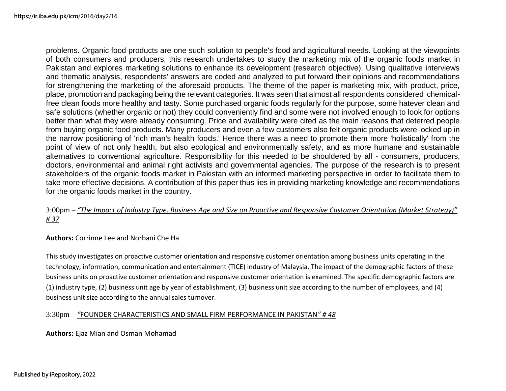problems. Organic food products are one such solution to people's food and agricultural needs. Looking at the viewpoints of both consumers and producers, this research undertakes to study the marketing mix of the organic foods market in Pakistan and explores marketing solutions to enhance its development (research objective). Using qualitative interviews and thematic analysis, respondents' answers are coded and analyzed to put forward their opinions and recommendations for strengthening the marketing of the aforesaid products. The theme of the paper is marketing mix, with product, price, place, promotion and packaging being the relevant categories. It was seen that almost all respondents considered chemicalfree clean foods more healthy and tasty. Some purchased organic foods regularly for the purpose, some hatever clean and safe solutions (whether organic or not) they could conveniently find and some were not involved enough to look for options better than what they were already consuming. Price and availability were cited as the main reasons that deterred people from buying organic food products. Many producers and even a few customers also felt organic products were locked up in the narrow positioning of 'rich man's health foods.' Hence there was a need to promote them more 'holistically' from the point of view of not only health, but also ecological and environmentally safety, and as more humane and sustainable alternatives to conventional agriculture. Responsibility for this needed to be shouldered by all - consumers, producers, doctors, environmental and animal right activists and governmental agencies. The purpose of the research is to present stakeholders of the organic foods market in Pakistan with an informed marketing perspective in order to facilitate them to take more effective decisions. A contribution of this paper thus lies in providing marketing knowledge and recommendations for the organic foods market in the country.

### 3:00pm – *"The Impact of Industry Type, Business Age and Size on Proactive and Responsive Customer Orientation (Market Strategy)" # 37*

### **Authors:** Corrinne Lee and Norbani Che Ha

This study investigates on proactive customer orientation and responsive customer orientation among business units operating in the technology, information, communication and entertainment (TICE) industry of Malaysia. The impact of the demographic factors of these business units on proactive customer orientation and responsive customer orientation is examined. The specific demographic factors are (1) industry type, (2) business unit age by year of establishment, (3) business unit size according to the number of employees, and (4) business unit size according to the annual sales turnover.

### 3:30pm – *"*FOUNDER CHARACTERISTICS AND SMALL FIRM PERFORMANCE IN PAKISTAN*" # 48*

**Authors:** Ejaz Mian and Osman Mohamad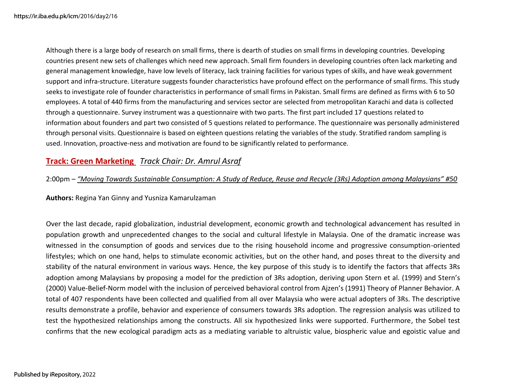Although there is a large body of research on small firms, there is dearth of studies on small firms in developing countries. Developing countries present new sets of challenges which need new approach. Small firm founders in developing countries often lack marketing and general management knowledge, have low levels of literacy, lack training facilities for various types of skills, and have weak government support and infra-structure. Literature suggests founder characteristics have profound effect on the performance of small firms. This study seeks to investigate role of founder characteristics in performance of small firms in Pakistan. Small firms are defined as firms with 6 to 50 employees. A total of 440 firms from the manufacturing and services sector are selected from metropolitan Karachi and data is collected through a questionnaire. Survey instrument was a questionnaire with two parts. The first part included 17 questions related to information about founders and part two consisted of 5 questions related to performance. The questionnaire was personally administered through personal visits. Questionnaire is based on eighteen questions relating the variables of the study. Stratified random sampling is used. Innovation, proactive-ness and motivation are found to be significantly related to performance.

# **Track: Green Marketing** *Track Chair: Dr. Amrul Asraf*

2:00pm – *"Moving Towards Sustainable Consumption: A Study of Reduce, Reuse and Recycle (3Rs) Adoption among Malaysians" #50*

**Authors:** Regina Yan Ginny and Yusniza Kamarulzaman

Over the last decade, rapid globalization, industrial development, economic growth and technological advancement has resulted in population growth and unprecedented changes to the social and cultural lifestyle in Malaysia. One of the dramatic increase was witnessed in the consumption of goods and services due to the rising household income and progressive consumption-oriented lifestyles; which on one hand, helps to stimulate economic activities, but on the other hand, and poses threat to the diversity and stability of the natural environment in various ways. Hence, the key purpose of this study is to identify the factors that affects 3Rs adoption among Malaysians by proposing a model for the prediction of 3Rs adoption, deriving upon Stern et al. (1999) and Stern's (2000) Value-Belief-Norm model with the inclusion of perceived behavioral control from Ajzen's (1991) Theory of Planner Behavior. A total of 407 respondents have been collected and qualified from all over Malaysia who were actual adopters of 3Rs. The descriptive results demonstrate a profile, behavior and experience of consumers towards 3Rs adoption. The regression analysis was utilized to test the hypothesized relationships among the constructs. All six hypothesized links were supported. Furthermore, the Sobel test confirms that the new ecological paradigm acts as a mediating variable to altruistic value, biospheric value and egoistic value and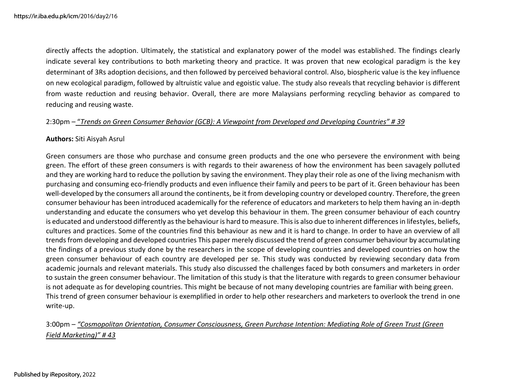directly affects the adoption. Ultimately, the statistical and explanatory power of the model was established. The findings clearly indicate several key contributions to both marketing theory and practice. It was proven that new ecological paradigm is the key determinant of 3Rs adoption decisions, and then followed by perceived behavioral control. Also, biospheric value is the key influence on new ecological paradigm, followed by altruistic value and egoistic value. The study also reveals that recycling behavior is different from waste reduction and reusing behavior. Overall, there are more Malaysians performing recycling behavior as compared to reducing and reusing waste.

### 2:30pm – "*Trends on Green Consumer Behavior (GCB): A Viewpoint from Developed and Developing Countries" # 39*

### **Authors:** Siti Aisyah Asrul

Green consumers are those who purchase and consume green products and the one who persevere the environment with being green. The effort of these green consumers is with regards to their awareness of how the environment has been savagely polluted and they are working hard to reduce the pollution by saving the environment. They play their role as one of the living mechanism with purchasing and consuming eco-friendly products and even influence their family and peers to be part of it. Green behaviour has been well-developed by the consumers all around the continents, be it from developing country or developed country. Therefore, the green consumer behaviour has been introduced academically for the reference of educators and marketers to help them having an in-depth understanding and educate the consumers who yet develop this behaviour in them. The green consumer behaviour of each country is educated and understood differently as the behaviour is hard to measure. This is also due to inherent differences in lifestyles, beliefs, cultures and practices. Some of the countries find this behaviour as new and it is hard to change. In order to have an overview of all trends from developing and developed countries This paper merely discussed the trend of green consumer behaviour by accumulating the findings of a previous study done by the researchers in the scope of developing countries and developed countries on how the green consumer behaviour of each country are developed per se. This study was conducted by reviewing secondary data from academic journals and relevant materials. This study also discussed the challenges faced by both consumers and marketers in order to sustain the green consumer behaviour. The limitation of this study is that the literature with regards to green consumer behaviour is not adequate as for developing countries. This might be because of not many developing countries are familiar with being green. This trend of green consumer behaviour is exemplified in order to help other researchers and marketers to overlook the trend in one write-up.

# 3:00pm – *"Cosmopolitan Orientation, Consumer Consciousness, Green Purchase Intention: Mediating Role of Green Trust (Green Field Marketing)" # 43*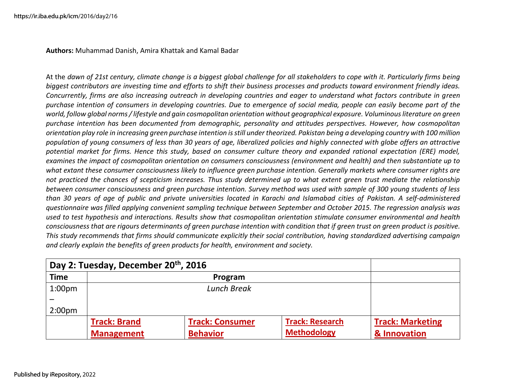**Authors:** Muhammad Danish, Amira Khattak and Kamal Badar

At the *dawn of 21st century, climate change is a biggest global challenge for all stakeholders to cope with it. Particularly firms being biggest contributors are investing time and efforts to shift their business processes and products toward environment friendly ideas. Concurrently, firms are also increasing outreach in developing countries and eager to understand what factors contribute in green purchase intention of consumers in developing countries. Due to emergence of social media, people can easily become part of the world, follow global norms / lifestyle and gain cosmopolitan orientation without geographical exposure. Voluminous literature on green purchase intention has been documented from demographic, personality and attitudes perspectives. However, how cosmopolitan orientation play role in increasing green purchase intention is still under theorized. Pakistan being a developing country with 100 million population of young consumers of less than 30 years of age, liberalized policies and highly connected with globe offers an attractive potential market for firms. Hence this study, based on consumer culture theory and expanded rational expectation (ERE) model, examines the impact of cosmopolitan orientation on consumers consciousness (environment and health) and then substantiate up to what extant these consumer consciousness likely to influence green purchase intention. Generally markets where consumer rights are not practiced the chances of scepticism increases. Thus study determined up to what extent green trust mediate the relationship between consumer consciousness and green purchase intention. Survey method was used with sample of 300 young students of less than 30 years of age of public and private universities located in Karachi and Islamabad cities of Pakistan. A self-administered questionnaire was filled applying convenient sampling technique between September and October 2015. The regression analysis was used to test hypothesis and interactions. Results show that cosmopolitan orientation stimulate consumer environmental and health consciousness that are rigours determinants of green purchase intention with condition that if green trust on green product is positive. This study recommends that firms should communicate explicitly their social contribution, having standardized advertising campaign and clearly explain the benefits of green products for health, environment and society.* 

| Day 2: Tuesday, December 20th, 2016 |                     |                        |                        |                         |
|-------------------------------------|---------------------|------------------------|------------------------|-------------------------|
| <b>Time</b>                         |                     |                        |                        |                         |
| 1:00 <sub>pm</sub>                  | <b>Lunch Break</b>  |                        |                        |                         |
|                                     |                     |                        |                        |                         |
| 2:00 <sub>pm</sub>                  |                     |                        |                        |                         |
|                                     | <b>Track: Brand</b> | <b>Track: Consumer</b> | <b>Track: Research</b> | <b>Track: Marketing</b> |
|                                     | <b>Management</b>   | <b>Behavior</b>        | <b>Methodology</b>     | & Innovation            |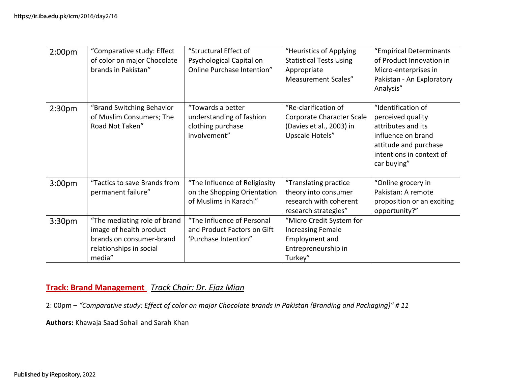| 2:00 <sub>pm</sub> | "Comparative study: Effect   | "Structural Effect of         | "Heuristics of Applying        | "Empirical Determinants    |
|--------------------|------------------------------|-------------------------------|--------------------------------|----------------------------|
|                    | of color on major Chocolate  | Psychological Capital on      | <b>Statistical Tests Using</b> | of Product Innovation in   |
|                    | brands in Pakistan"          | Online Purchase Intention"    | Appropriate                    | Micro-enterprises in       |
|                    |                              |                               | <b>Measurement Scales"</b>     | Pakistan - An Exploratory  |
|                    |                              |                               |                                | Analysis"                  |
|                    |                              |                               |                                |                            |
| 2:30 <sub>pm</sub> | "Brand Switching Behavior    | "Towards a better             | "Re-clarification of           | "Identification of         |
|                    | of Muslim Consumers; The     | understanding of fashion      | Corporate Character Scale      | perceived quality          |
|                    | Road Not Taken"              | clothing purchase             | (Davies et al., 2003) in       | attributes and its         |
|                    |                              | involvement"                  | Upscale Hotels"                | influence on brand         |
|                    |                              |                               |                                | attitude and purchase      |
|                    |                              |                               |                                | intentions in context of   |
|                    |                              |                               |                                | car buying"                |
|                    |                              |                               |                                |                            |
| 3:00 <sub>pm</sub> | "Tactics to save Brands from | "The Influence of Religiosity | "Translating practice          | "Online grocery in         |
|                    | permanent failure"           | on the Shopping Orientation   | theory into consumer           | Pakistan: A remote         |
|                    |                              | of Muslims in Karachi"        | research with coherent         | proposition or an exciting |
|                    |                              |                               | research strategies"           | opportunity?"              |
| 3:30 <sub>pm</sub> | "The mediating role of brand | "The Influence of Personal    | "Micro Credit System for       |                            |
|                    | image of health product      | and Product Factors on Gift   | <b>Increasing Female</b>       |                            |
|                    | brands on consumer-brand     | 'Purchase Intention"          | Employment and                 |                            |
|                    | relationships in social      |                               | Entrepreneurship in            |                            |
|                    | media"                       |                               | Turkey"                        |                            |

# **Track: Brand Management** *Track Chair: Dr. Ejaz Mian*

2: 00pm – *"Comparative study: Effect of color on major Chocolate brands in Pakistan (Branding and Packaging)" # 11* 

**Authors:** Khawaja Saad Sohail and Sarah Khan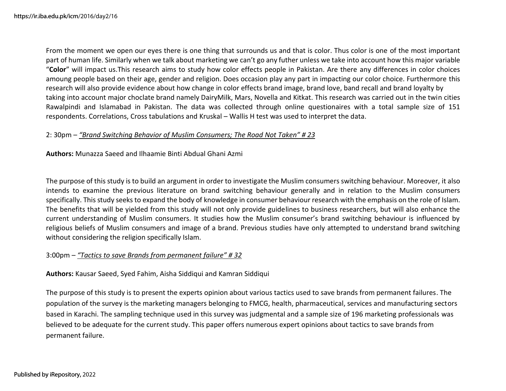From the moment we open our eyes there is one thing that surrounds us and that is color. Thus color is one of the most important part of human life. Similarly when we talk about marketing we can't go any futher unless we take into account how this major variable "**Color**" will impact us.This research aims to study how color effects people in Pakistan. Are there any differences in color choices amoung people based on their age, gender and religion. Does occasion play any part in impacting our color choice. Furthermore this research will also provide evidence about how change in color effects brand image, brand love, band recall and brand loyalty by taking into account major choclate brand namely DairyMilk, Mars, Novella and Kitkat. This research was carried out in the twin cities Rawalpindi and Islamabad in Pakistan. The data was collected through online questionaires with a total sample size of 151 respondents. Correlations, Cross tabulations and Kruskal – Wallis H test was used to interpret the data.

### 2: 30pm – *"Brand Switching Behavior of Muslim Consumers; The Road Not Taken" # 23*

**Authors:** Munazza Saeed and Ilhaamie Binti Abdual Ghani Azmi

The purpose of this study is to build an argument in order to investigate the Muslim consumers switching behaviour. Moreover, it also intends to examine the previous literature on brand switching behaviour generally and in relation to the Muslim consumers specifically. This study seeks to expand the body of knowledge in consumer behaviour research with the emphasis on the role of Islam. The benefits that will be yielded from this study will not only provide guidelines to business researchers, but will also enhance the current understanding of Muslim consumers. It studies how the Muslim consumer's brand switching behaviour is influenced by religious beliefs of Muslim consumers and image of a brand. Previous studies have only attempted to understand brand switching without considering the religion specifically Islam.

### 3:00pm – *"Tactics to save Brands from permanent failure" # 32*

**Authors:** Kausar Saeed, Syed Fahim, Aisha Siddiqui and Kamran Siddiqui

The purpose of this study is to present the experts opinion about various tactics used to save brands from permanent failures. The population of the survey is the marketing managers belonging to FMCG, health, pharmaceutical, services and manufacturing sectors based in Karachi. The sampling technique used in this survey was judgmental and a sample size of 196 marketing professionals was believed to be adequate for the current study. This paper offers numerous expert opinions about tactics to save brands from permanent failure.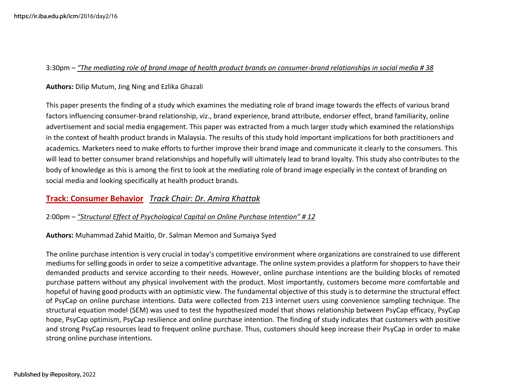### 3:30pm – *"The mediating role of brand image of health product brands on consumer-brand relationships in social media # 38*

### **Authors:** Dilip Mutum, Jing Ning and Ezlika Ghazali

This paper presents the finding of a study which examines the mediating role of brand image towards the effects of various brand factors influencing consumer-brand relationship, viz., brand experience, brand attribute, endorser effect, brand familiarity, online advertisement and social media engagement. This paper was extracted from a much larger study which examined the relationships in the context of health product brands in Malaysia. The results of this study hold important implications for both practitioners and academics. Marketers need to make efforts to further improve their brand image and communicate it clearly to the consumers. This will lead to better consumer brand relationships and hopefully will ultimately lead to brand loyalty. This study also contributes to the body of knowledge as this is among the first to look at the mediating role of brand image especially in the context of branding on social media and looking specifically at health product brands.

### **Track: Consumer Behavior** *Track Chair: Dr. Amira Khattak*

### 2:00pm – *"Structural Effect of Psychological Capital on Online Purchase Intention" # 12*

**Authors:** Muhammad Zahid Maitlo, Dr. Salman Memon and Sumaiya Syed

The online purchase intention is very crucial in today's competitive environment where organizations are constrained to use different mediums for selling goods in order to seize a competitive advantage. The online system provides a platform for shoppers to have their demanded products and service according to their needs. However, online purchase intentions are the building blocks of remoted purchase pattern without any physical involvement with the product. Most importantly, customers become more comfortable and hopeful of having good products with an optimistic view. The fundamental objective of this study is to determine the structural effect of PsyCap on online purchase intentions. Data were collected from 213 internet users using convenience sampling technique. The structural equation model (SEM) was used to test the hypothesized model that shows relationship between PsyCap efficacy, PsyCap hope, PsyCap optimism, PsyCap resilience and online purchase intention. The finding of study indicates that customers with positive and strong PsyCap resources lead to frequent online purchase. Thus, customers should keep increase their PsyCap in order to make strong online purchase intentions.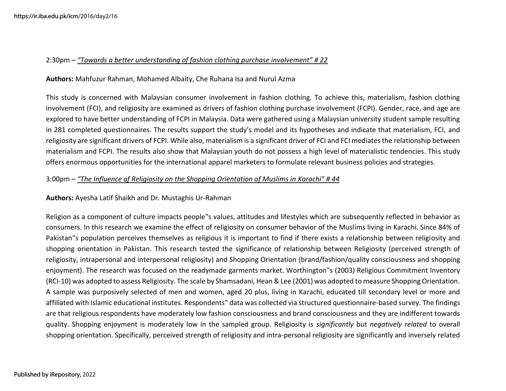### 2:30pm – *"Towards a better understanding of fashion clothing purchase involvement" # 22*

### **Authors:** Mahfuzur Rahman, Mohamed Albaity, Che Ruhana Isa and Nurul Azma

This study is concerned with Malaysian consumer involvement in fashion clothing. To achieve this, materialism, fashion clothing involvement (FCI), and religiosity are examined as drivers of fashion clothing purchase involvement (FCPI). Gender, race, and age are explored to have better understanding of FCPI in Malaysia. Data were gathered using a Malaysian university student sample resulting in 281 completed questionnaires. The results support the study's model and its hypotheses and indicate that materialism, FCI, and religiosity are significant drivers of FCPI. While also, materialism is a significant driver of FCI and FCI mediates the relationship between materialism and FCPI. The results also show that Malaysian youth do not possess a high level of materialistic tendencies. This study offers enormous opportunities for the international apparel marketers to formulate relevant business policies and strategies.

### 3:00pm – *"The Influence of Religiosity on the Shopping Orientation of Muslims in Karachi" # 44*

**Authors:** Ayesha Latif Shaikh and Dr. Mustaghis Ur-Rahman

Religion as a component of culture impacts people"s values, attitudes and lifestyles which are subsequently reflected in behavior as consumers. In this research we examine the effect of religiosity on consumer behavior of the Muslims living in Karachi. Since 84% of Pakistan"s population perceives themselves as religious it is important to find if there exists a relationship between religiosity and shopping orientation in Pakistan. This research tested the significance of relationship between Religiosity (perceived strength of religiosity, intrapersonal and interpersonal religiosity) and Shopping Orientation (brand/fashion/quality consciousness and shopping enjoyment). The research was focused on the readymade garments market. Worthington"s (2003) Religious Commitment Inventory (RCI-10) was adopted to assess Religiosity. The scale by Shamsadani, Hean & Lee (2001) was adopted to measure Shopping Orientation. A sample was purposively selected of men and women, aged 20 plus, living in Karachi, educated till secondary level or more and affiliated with Islamic educational institutes. Respondents" data was collected via structured questionnaire-based survey. The findings are that religious respondents have moderately low fashion consciousness and brand consciousness and they are indifferent towards quality. Shopping enjoyment is moderately low in the sampled group. Religiosity is *significantly* but *negatively related* to overall shopping orientation. Specifically, perceived strength of religiosity and intra-personal religiosity are significantly and inversely related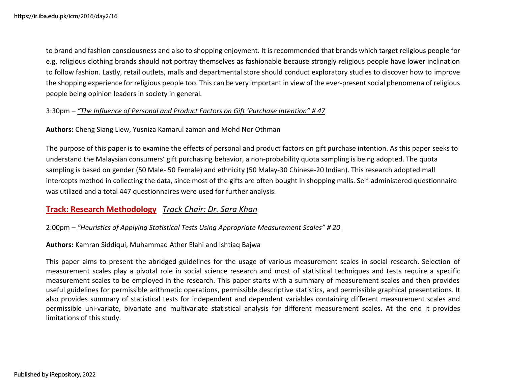to brand and fashion consciousness and also to shopping enjoyment. It is recommended that brands which target religious people for e.g. religious clothing brands should not portray themselves as fashionable because strongly religious people have lower inclination to follow fashion. Lastly, retail outlets, malls and departmental store should conduct exploratory studies to discover how to improve the shopping experience for religious people too. This can be very important in view of the ever-present social phenomena of religious people being opinion leaders in society in general.

### 3:30pm – *"The Influence of Personal and Product Factors on Gift 'Purchase Intention" # 47*

**Authors:** Cheng Siang Liew, Yusniza Kamarul zaman and Mohd Nor Othman

The purpose of this paper is to examine the effects of personal and product factors on gift purchase intention. As this paper seeks to understand the Malaysian consumers' gift purchasing behavior, a non-probability quota sampling is being adopted. The quota sampling is based on gender (50 Male- 50 Female) and ethnicity (50 Malay-30 Chinese-20 Indian). This research adopted mall intercepts method in collecting the data, since most of the gifts are often bought in shopping malls. Self-administered questionnaire was utilized and a total 447 questionnaires were used for further analysis.

### **Track: Research Methodology** *Track Chair: Dr. Sara Khan*

### 2:00pm – *"Heuristics of Applying Statistical Tests Using Appropriate Measurement Scales" # 20*

**Authors:** Kamran Siddiqui, Muhammad Ather Elahi and Ishtiaq Bajwa

This paper aims to present the abridged guidelines for the usage of various measurement scales in social research. Selection of measurement scales play a pivotal role in social science research and most of statistical techniques and tests require a specific measurement scales to be employed in the research. This paper starts with a summary of measurement scales and then provides useful guidelines for permissible arithmetic operations, permissible descriptive statistics, and permissible graphical presentations. It also provides summary of statistical tests for independent and dependent variables containing different measurement scales and permissible uni-variate, bivariate and multivariate statistical analysis for different measurement scales. At the end it provides limitations of this study.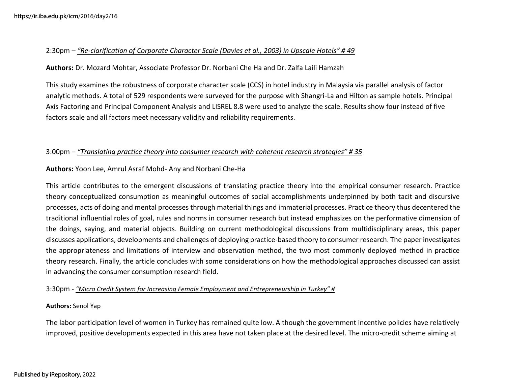### 2:30pm – *"Re-clarification of Corporate Character Scale (Davies et al., 2003) in Upscale Hotels" # 49*

**Authors:** Dr. Mozard Mohtar, Associate Professor Dr. Norbani Che Ha and Dr. Zalfa Laili Hamzah

This study examines the robustness of corporate character scale (CCS) in hotel industry in Malaysia via parallel analysis of factor analytic methods. A total of 529 respondents were surveyed for the purpose with Shangri-La and Hilton as sample hotels. Principal Axis Factoring and Principal Component Analysis and LISREL 8.8 were used to analyze the scale. Results show four instead of five factors scale and all factors meet necessary validity and reliability requirements.

### 3:00pm – *"Translating practice theory into consumer research with coherent research strategies" # 35*

### **Authors:** Yoon Lee, Amrul Asraf Mohd- Any and Norbani Che-Ha

This article contributes to the emergent discussions of translating practice theory into the empirical consumer research. Practice theory conceptualized consumption as meaningful outcomes of social accomplishments underpinned by both tacit and discursive processes, acts of doing and mental processes through material things and immaterial processes. Practice theory thus decentered the traditional influential roles of goal, rules and norms in consumer research but instead emphasizes on the performative dimension of the doings, saying, and material objects. Building on current methodological discussions from multidisciplinary areas, this paper discusses applications, developments and challenges of deploying practice-based theory to consumer research. The paper investigates the appropriateness and limitations of interview and observation method, the two most commonly deployed method in practice theory research. Finally, the article concludes with some considerations on how the methodological approaches discussed can assist in advancing the consumer consumption research field.

#### 3:30pm - *"Micro Credit System for Increasing Female Employment and Entrepreneurship in Turkey" #*

#### **Authors:** Senol Yap

The labor participation level of women in Turkey has remained quite low. Although the government incentive policies have relatively improved, positive developments expected in this area have not taken place at the desired level. The micro-credit scheme aiming at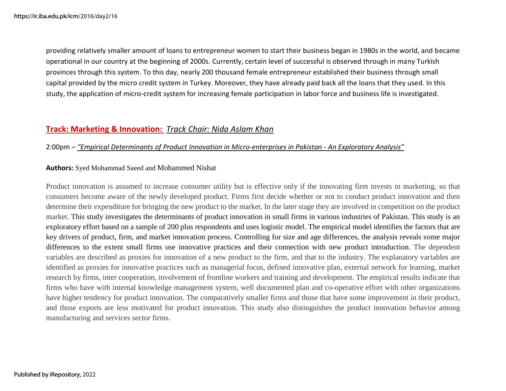providing relatively smaller amount of loans to entrepreneur women to start their business began in 1980s in the world, and became operational in our country at the beginning of 2000s. Currently, certain level of successful is observed through in many Turkish provinces through this system. To this day, nearly 200 thousand female entrepreneur established their business through small capital provided by the micro credit system in Turkey. Moreover, they have already paid back all the loans that they used. In this study, the application of micro-credit system for increasing female participation in labor force and business life is investigated.

# **Track: Marketing & Innovation:** *Track Chair: Nida Aslam Khan*

### 2:00pm – *"Empirical Determinants of Product Innovation in Micro-enterprises in Pakistan - An Exploratory Analysis"*

### **Authors:** Syed Mohammad Saeed and Mohammed Nishat

Product innovation is assumed to increase consumer utility but is effective only if the innovating firm invests in marketing, so that consumers become aware of the newly developed product. Firms first decide whether or not to conduct product innovation and then determine their expenditure for bringing the new product to the market. In the later stage they are involved in competition on the product market. This study investigates the determinants of product innovation in small firms in various industries of Pakistan. This study is an exploratory effort based on a sample of 200 plus respondents and uses logistic model. The empirical model identifies the factors that are key drivers of product, firm, and market innovation process. Controlling for size and age differences, the analysis reveals some major differences to the extent small firms use innovative practices and their connection with new product introduction. The dependent variables are described as proxies for innovation of a new product to the firm, and that to the industry. The explanatory variables are identified as proxies for innovative practices such as managerial focus, defined innovative plan, external network for learning, market research by firms, inter cooperation, involvement of frontline workers and training and development. The empirical results indicate that firms who have with internal knowledge management system, well documented plan and co-operative effort with other organizations have higher tendency for product innovation. The comparatively smaller firms and those that have some improvement in their product, and those exports are less motivated for product innovation. This study also distinguishes the product innovation behavior among manufacturing and services sector firms.